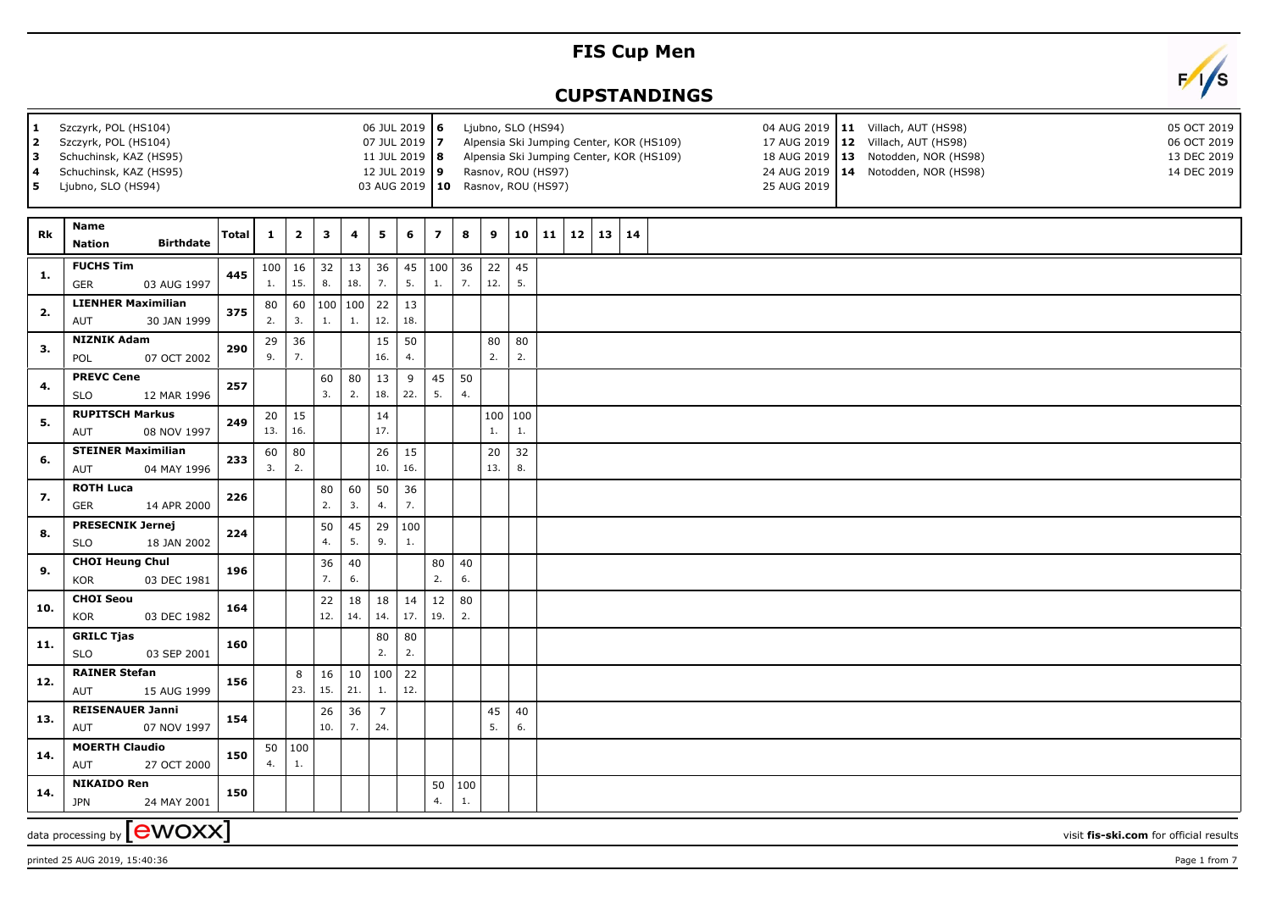## **FIS Cup Men**

## **CUPSTANDINGS**



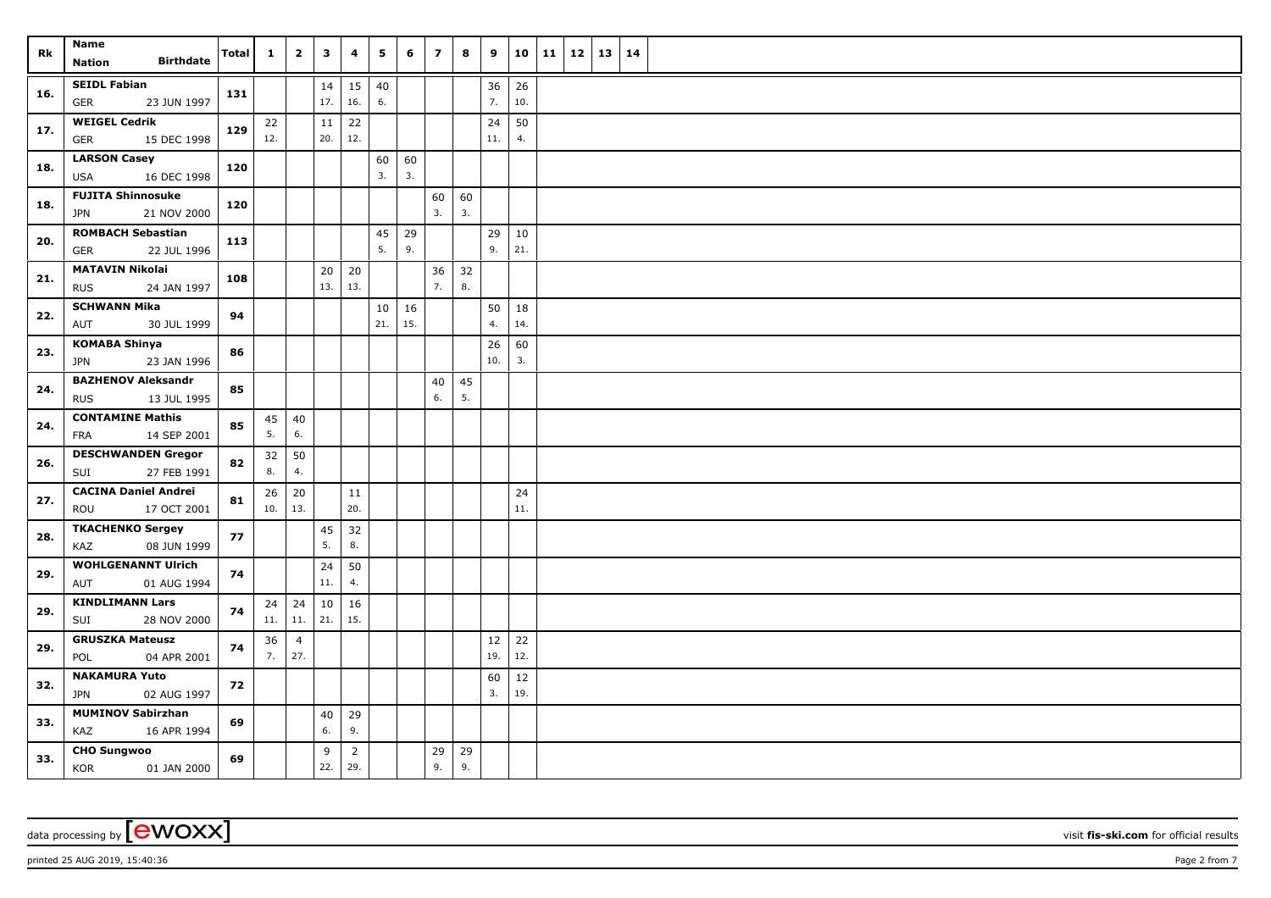| Rk  | Name                                                   | Total | $\mathbf{1}$    | $\overline{2}$        | $\mathbf{3}$  | 4                     | 5         | 6         | $\overline{\mathbf{z}}$ | 8        | 9         | 10        | 11 | $12 \mid 13$ | 14 |  |
|-----|--------------------------------------------------------|-------|-----------------|-----------------------|---------------|-----------------------|-----------|-----------|-------------------------|----------|-----------|-----------|----|--------------|----|--|
|     | <b>Birthdate</b><br><b>Nation</b>                      |       |                 |                       |               |                       |           |           |                         |          |           |           |    |              |    |  |
| 16. | <b>SEIDL Fabian</b><br><b>GER</b><br>23 JUN 1997       | 131   |                 |                       | 14<br>17.     | 15<br>16.             | 40<br>6.  |           |                         |          | 36<br>7.  | 26<br>10. |    |              |    |  |
| 17. | <b>WEIGEL Cedrik</b><br><b>GER</b><br>15 DEC 1998      | 129   | 22<br>12.       |                       | 11<br>20.     | 22<br>12.             |           |           |                         |          | 24<br>11. | 50<br>4.  |    |              |    |  |
| 18. | <b>LARSON Casey</b><br>16 DEC 1998<br><b>USA</b>       | 120   |                 |                       |               |                       | 60<br>3.  | 60<br>3.  |                         |          |           |           |    |              |    |  |
| 18. | <b>FUJITA Shinnosuke</b>                               | 120   |                 |                       |               |                       |           |           | 60<br>3.                | 60<br>3. |           |           |    |              |    |  |
|     | 21 NOV 2000<br><b>JPN</b>                              |       |                 |                       |               |                       |           |           |                         |          |           |           |    |              |    |  |
| 20. | <b>ROMBACH Sebastian</b><br><b>GER</b><br>22 JUL 1996  | 113   |                 |                       |               |                       | 45<br>5.  | 29<br>9.  |                         |          | 29<br>9.  | 10<br>21. |    |              |    |  |
| 21. | <b>MATAVIN Nikolai</b><br>24 JAN 1997<br><b>RUS</b>    | 108   |                 |                       | 20<br>13.     | 20<br>13.             |           |           | 36<br>7.                | 32<br>8. |           |           |    |              |    |  |
| 22. | <b>SCHWANN Mika</b><br>AUT<br>30 JUL 1999              | 94    |                 |                       |               |                       | 10<br>21. | 16<br>15. |                         |          | 50<br>4.  | 18<br>14. |    |              |    |  |
| 23. | <b>KOMABA Shinya</b><br>23 JAN 1996<br>JPN             | 86    |                 |                       |               |                       |           |           |                         |          | 26<br>10. | 60<br>3.  |    |              |    |  |
| 24. | <b>BAZHENOV Aleksandr</b><br><b>RUS</b><br>13 JUL 1995 | 85    |                 |                       |               |                       |           |           | 40<br>6.                | 45<br>5. |           |           |    |              |    |  |
|     | <b>CONTAMINE Mathis</b>                                |       | 45              | 40                    |               |                       |           |           |                         |          |           |           |    |              |    |  |
| 24. | 14 SEP 2001<br><b>FRA</b>                              | 85    | 5.              | 6.                    |               |                       |           |           |                         |          |           |           |    |              |    |  |
| 26. | <b>DESCHWANDEN Gregor</b><br>27 FEB 1991<br>SUI        | 82    | 32<br>8.        | 50<br>4.              |               |                       |           |           |                         |          |           |           |    |              |    |  |
| 27. | <b>CACINA Daniel Andrei</b><br>ROU<br>17 OCT 2001      | 81    | 26<br>$10.$ 13. | 20                    |               | 11<br>20.             |           |           |                         |          |           | 24<br>11. |    |              |    |  |
| 28. | <b>TKACHENKO Sergey</b><br>08 JUN 1999<br>KAZ          | 77    |                 |                       | 45<br>5.      | 32<br>8.              |           |           |                         |          |           |           |    |              |    |  |
| 29. | <b>WOHLGENANNT Ulrich</b><br>01 AUG 1994<br>AUT        | 74    |                 |                       | 24<br>11.     | 50<br>4.              |           |           |                         |          |           |           |    |              |    |  |
| 29. | <b>KINDLIMANN Lars</b><br>28 NOV 2000<br>SUI           | 74    | 24<br>$11.$ 11. | 24                    | $10\,$<br>21. | 16<br>15.             |           |           |                         |          |           |           |    |              |    |  |
| 29. | <b>GRUSZKA Mateusz</b><br>POL<br>04 APR 2001           | 74    | 36<br>7.        | $\overline{4}$<br>27. |               |                       |           |           |                         |          | 12<br>19. | 22<br>12. |    |              |    |  |
| 32. | <b>NAKAMURA Yuto</b><br>02 AUG 1997<br>JPN             | 72    |                 |                       |               |                       |           |           |                         |          | 60<br>3.  | 12<br>19. |    |              |    |  |
|     | <b>MUMINOV Sabirzhan</b>                               |       |                 |                       |               |                       |           |           |                         |          |           |           |    |              |    |  |
| 33. | KAZ<br>16 APR 1994                                     | 69    |                 |                       | $40\,$<br>6.  | 29<br>9.              |           |           |                         |          |           |           |    |              |    |  |
| 33. | <b>CHO Sungwoo</b><br>KOR<br>01 JAN 2000               | 69    |                 |                       | 9<br>22.      | $\overline{2}$<br>29. |           |           | 29<br>9.                | 29<br>9. |           |           |    |              |    |  |

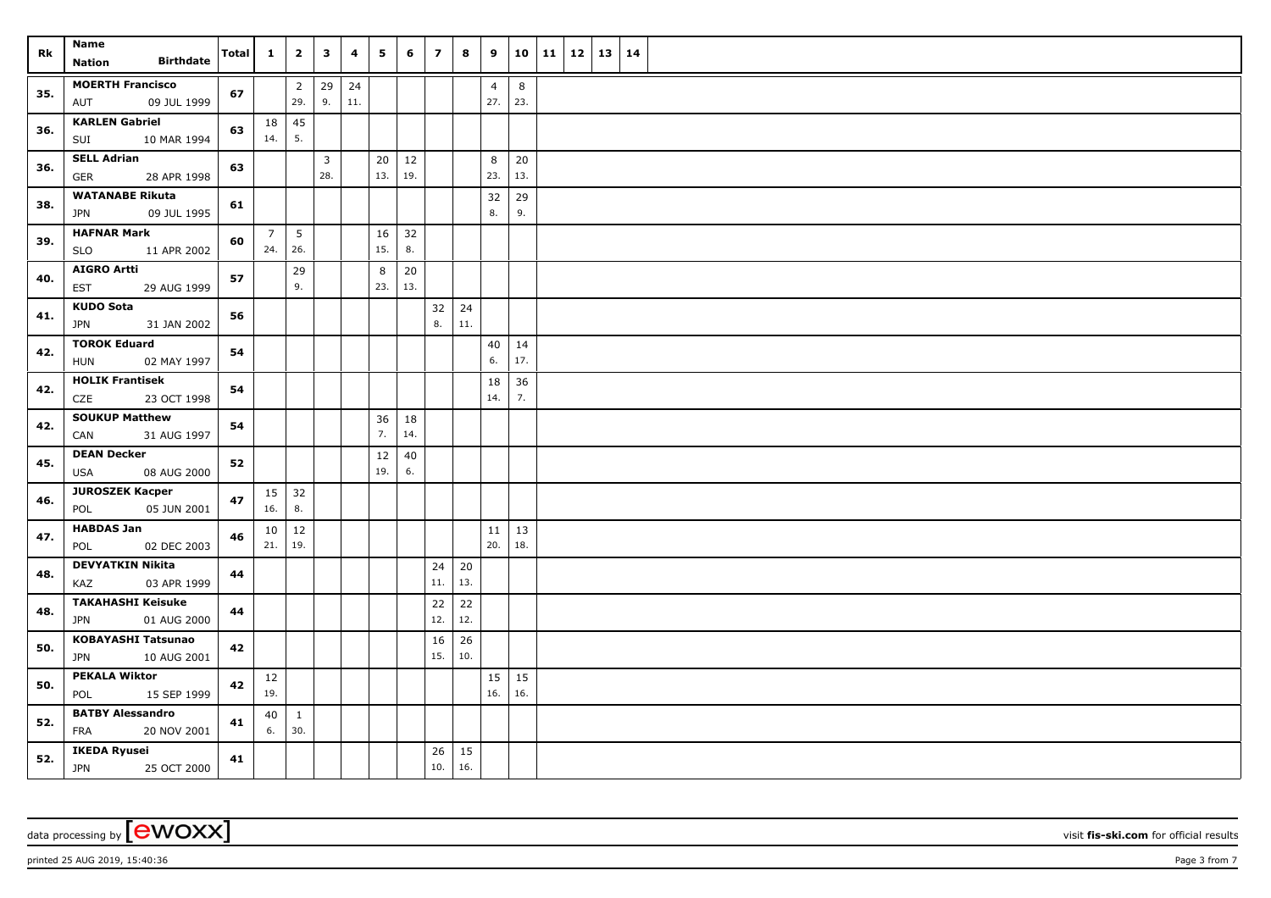| Rk  | <b>Name</b>                                          | Total | $\mathbf{1}$          | $\overline{\mathbf{2}}$ | $\mathbf{3}$          | 4         | 5         | 6             | $\overline{z}$ | 8                 | 9                     | 10             | $11 \mid 12$ | 13   14 |  |
|-----|------------------------------------------------------|-------|-----------------------|-------------------------|-----------------------|-----------|-----------|---------------|----------------|-------------------|-----------------------|----------------|--------------|---------|--|
|     | <b>Birthdate</b><br><b>Nation</b>                    |       |                       |                         |                       |           |           |               |                |                   |                       |                |              |         |  |
| 35. | <b>MOERTH Francisco</b><br>AUT<br>09 JUL 1999        | 67    |                       | $\overline{2}$<br>29.   | 29<br>9.              | 24<br>11. |           |               |                |                   | $\overline{4}$<br>27. | $\bf 8$<br>23. |              |         |  |
| 36. | <b>KARLEN Gabriel</b><br>10 MAR 1994<br>SUI          | 63    | 18<br>14.             | 45<br>5.                |                       |           |           |               |                |                   |                       |                |              |         |  |
| 36. | <b>SELL Adrian</b><br>GER<br>28 APR 1998             | 63    |                       |                         | $\overline{3}$<br>28. |           | 20<br>13. | 12<br>19.     |                |                   | 8<br>23.              | 20<br>13.      |              |         |  |
| 38. | <b>WATANABE Rikuta</b><br>09 JUL 1995                | 61    |                       |                         |                       |           |           |               |                |                   | 32<br>8.              | 29<br>9.       |              |         |  |
|     | <b>JPN</b><br><b>HAFNAR Mark</b>                     |       |                       |                         |                       |           |           |               |                |                   |                       |                |              |         |  |
| 39. | <b>SLO</b><br>11 APR 2002                            | 60    | $\overline{7}$<br>24. | $5\overline{)}$<br>26.  |                       |           | 16<br>15. | 32<br>8.      |                |                   |                       |                |              |         |  |
| 40. | <b>AIGRO Artti</b><br>29 AUG 1999<br>EST             | 57    |                       | 29<br>9.                |                       |           | 8<br>23.  | $20\,$<br>13. |                |                   |                       |                |              |         |  |
| 41. | <b>KUDO Sota</b><br><b>JPN</b><br>31 JAN 2002        | 56    |                       |                         |                       |           |           |               | 32<br>8.       | $\vert$ 24<br>11. |                       |                |              |         |  |
| 42. | <b>TOROK Eduard</b><br>02 MAY 1997<br><b>HUN</b>     | 54    |                       |                         |                       |           |           |               |                |                   | 40<br>6.              | 14<br>17.      |              |         |  |
| 42. | <b>HOLIK Frantisek</b><br>23 OCT 1998<br>CZE         | 54    |                       |                         |                       |           |           |               |                |                   | 18<br>14.             | 36<br>7.       |              |         |  |
| 42. | <b>SOUKUP Matthew</b><br>CAN<br>31 AUG 1997          | 54    |                       |                         |                       |           | 36<br>7.  | 18<br>14.     |                |                   |                       |                |              |         |  |
| 45. | <b>DEAN Decker</b><br>USA<br>08 AUG 2000             | 52    |                       |                         |                       |           | 12<br>19. | 40<br>6.      |                |                   |                       |                |              |         |  |
| 46. | <b>JUROSZEK Kacper</b><br>05 JUN 2001<br>POL         | 47    | 15<br>16.             | 32<br>8.                |                       |           |           |               |                |                   |                       |                |              |         |  |
| 47. | <b>HABDAS Jan</b><br>02 DEC 2003<br>POL              | 46    | 10<br>21.             | 12<br>19.               |                       |           |           |               |                |                   | 11<br>20.             | 13<br>18.      |              |         |  |
| 48. | <b>DEVYATKIN Nikita</b><br>03 APR 1999<br>KAZ        | 44    |                       |                         |                       |           |           |               | 24<br>11.      | 20<br>13.         |                       |                |              |         |  |
| 48. | <b>TAKAHASHI Keisuke</b><br><b>JPN</b>               | 44    |                       |                         |                       |           |           |               | 22<br>12.      | 22<br>12.         |                       |                |              |         |  |
| 50. | 01 AUG 2000<br><b>KOBAYASHI Tatsunao</b>             | 42    |                       |                         |                       |           |           |               | 16             | 26                |                       |                |              |         |  |
|     | <b>JPN</b><br>10 AUG 2001                            |       |                       |                         |                       |           |           |               | 15.            | 10.               |                       |                |              |         |  |
| 50. | <b>PEKALA Wiktor</b><br>POL<br>15 SEP 1999           | 42    | 12<br>19.             |                         |                       |           |           |               |                |                   | 15<br>16.             | 15<br>16.      |              |         |  |
| 52. | <b>BATBY Alessandro</b><br><b>FRA</b><br>20 NOV 2001 | 41    | 40<br>6.              | $\mathbf{1}$<br>30.     |                       |           |           |               |                |                   |                       |                |              |         |  |
| 52. | <b>IKEDA Ryusei</b><br><b>JPN</b><br>25 OCT 2000     | 41    |                       |                         |                       |           |           |               | 26<br>10.      | 15<br>16.         |                       |                |              |         |  |

data processing by **CWOXX** visit **fis-ski.com** for official results

printed 25 AUG 2019, 15:40:36 **Page 3** from 7 **Page 3** from 7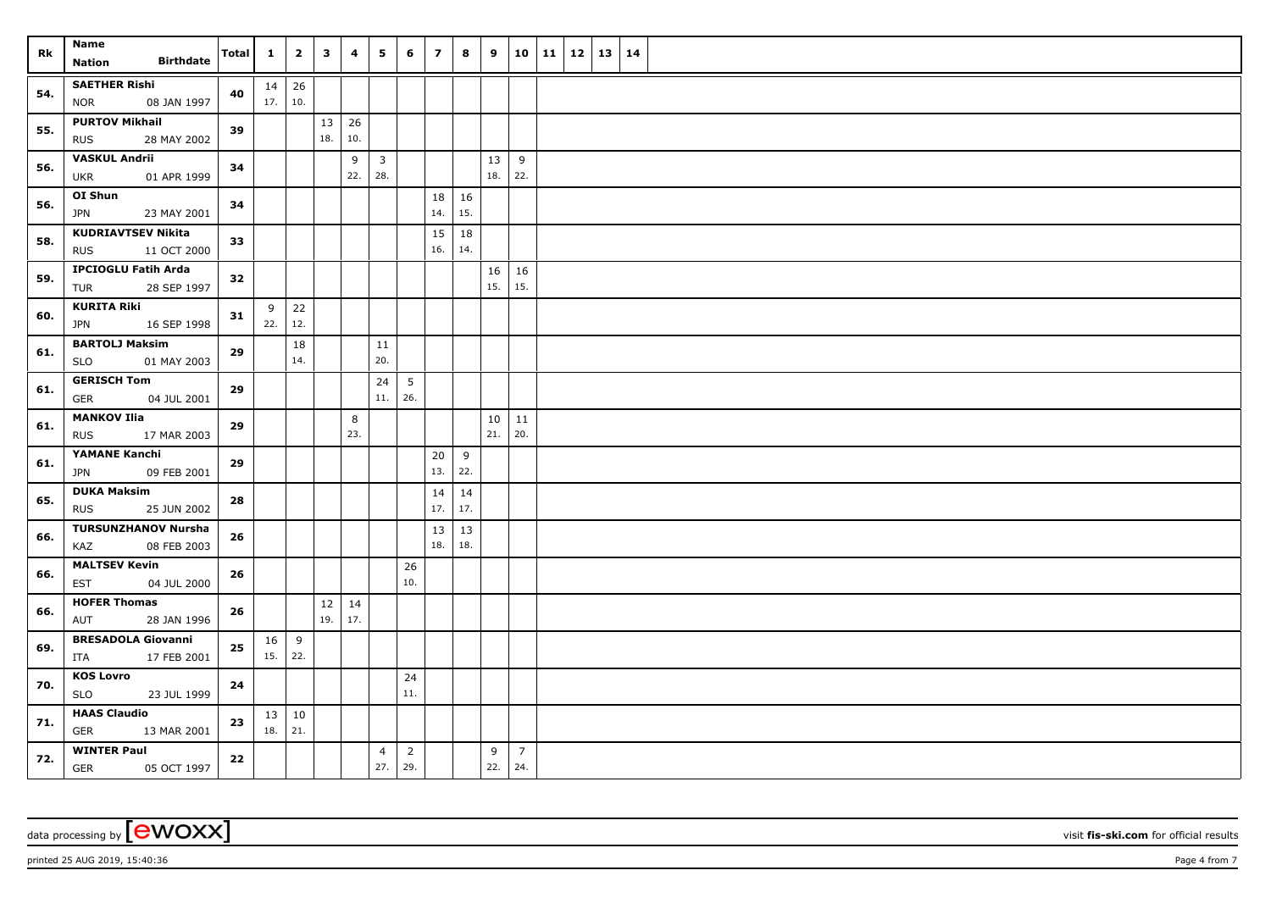| Rk  | Name<br><b>Birthdate</b>                               | <b>Total</b> | $\mathbf{1}$              | $\overline{2}$ | $\mathbf{3}$ | 4          | 5                              | 6                     | $\overline{\phantom{a}}$ | 8         | 9               |                       | $10$   11   12   13 | 14 |  |
|-----|--------------------------------------------------------|--------------|---------------------------|----------------|--------------|------------|--------------------------------|-----------------------|--------------------------|-----------|-----------------|-----------------------|---------------------|----|--|
|     | Nation                                                 |              |                           |                |              |            |                                |                       |                          |           |                 |                       |                     |    |  |
| 54. | <b>SAETHER Rishi</b><br><b>NOR</b><br>08 JAN 1997      | 40           | $14 \mid 26$<br>17.   10. |                |              |            |                                |                       |                          |           |                 |                       |                     |    |  |
| 55. | <b>PURTOV Mikhail</b><br>28 MAY 2002<br><b>RUS</b>     | 39           |                           |                | 13<br>18.    | 26<br>10.  |                                |                       |                          |           |                 |                       |                     |    |  |
| 56. | <b>VASKUL Andrii</b><br><b>UKR</b><br>01 APR 1999      | 34           |                           |                |              | 9<br>22.   | $\overline{\mathbf{3}}$<br>28. |                       |                          |           | 13<br>18.       | 9<br>22.              |                     |    |  |
| 56. | OI Shun<br><b>JPN</b><br>23 MAY 2001                   | 34           |                           |                |              |            |                                |                       | 18<br>14.                | 16<br>15. |                 |                       |                     |    |  |
|     |                                                        |              |                           |                |              |            |                                |                       |                          |           |                 |                       |                     |    |  |
| 58. | <b>KUDRIAVTSEV Nikita</b><br><b>RUS</b><br>11 OCT 2000 | 33           |                           |                |              |            |                                |                       | 15<br>16.                | 18<br>14. |                 |                       |                     |    |  |
| 59. | <b>IPCIOGLU Fatih Arda</b><br>TUR<br>28 SEP 1997       | 32           |                           |                |              |            |                                |                       |                          |           | 16<br>15.       | 16<br>15.             |                     |    |  |
| 60. | <b>KURITA Riki</b><br>16 SEP 1998<br><b>JPN</b>        | 31           | 9<br>22.                  | 22<br>12.      |              |            |                                |                       |                          |           |                 |                       |                     |    |  |
|     | <b>BARTOLJ Maksim</b>                                  |              |                           | 18             |              |            | 11                             |                       |                          |           |                 |                       |                     |    |  |
| 61. | <b>SLO</b><br>01 MAY 2003                              | 29           |                           | 14.            |              |            | 20.                            |                       |                          |           |                 |                       |                     |    |  |
|     | <b>GERISCH Tom</b>                                     |              |                           |                |              |            | 24                             | $5\overline{5}$       |                          |           |                 |                       |                     |    |  |
| 61. | GER<br>04 JUL 2001                                     | 29           |                           |                |              |            | 11.                            | 26.                   |                          |           |                 |                       |                     |    |  |
|     | <b>MANKOV Ilia</b>                                     | 29           |                           |                |              | 8          |                                |                       |                          |           | 10 <sup>1</sup> | 11                    |                     |    |  |
| 61. | <b>RUS</b><br>17 MAR 2003                              |              |                           |                |              | 23.        |                                |                       |                          |           | 21.             | 20.                   |                     |    |  |
| 61. | <b>YAMANE Kanchi</b>                                   | 29           |                           |                |              |            |                                |                       | 20                       | 9         |                 |                       |                     |    |  |
|     | JPN<br>09 FEB 2001                                     |              |                           |                |              |            |                                |                       | 13.                      | 22.       |                 |                       |                     |    |  |
| 65. | <b>DUKA Maksim</b>                                     | 28           |                           |                |              |            |                                |                       | 14                       | 14        |                 |                       |                     |    |  |
|     | <b>RUS</b><br>25 JUN 2002                              |              |                           |                |              |            |                                |                       | 17.                      | 17.       |                 |                       |                     |    |  |
| 66. | <b>TURSUNZHANOV Nursha</b>                             | 26           |                           |                |              |            |                                |                       | 13                       | 13        |                 |                       |                     |    |  |
|     | 08 FEB 2003<br>KAZ                                     |              |                           |                |              |            |                                |                       | 18.                      | 18.       |                 |                       |                     |    |  |
| 66. | <b>MALTSEV Kevin</b>                                   | 26           |                           |                |              |            |                                | 26                    |                          |           |                 |                       |                     |    |  |
|     | 04 JUL 2000<br><b>EST</b>                              |              |                           |                |              |            |                                | 10.                   |                          |           |                 |                       |                     |    |  |
| 66. | <b>HOFER Thomas</b><br>AUT<br>28 JAN 1996              | 26           |                           |                | 12<br>19.    | 14<br> 17. |                                |                       |                          |           |                 |                       |                     |    |  |
|     | <b>BRESADOLA Giovanni</b>                              |              | 16                        | 9              |              |            |                                |                       |                          |           |                 |                       |                     |    |  |
| 69. | ITA<br>17 FEB 2001                                     | ${\bf 25}$   | $15.$ 22.                 |                |              |            |                                |                       |                          |           |                 |                       |                     |    |  |
| 70. | <b>KOS Lovro</b>                                       | 24           |                           |                |              |            |                                | 24                    |                          |           |                 |                       |                     |    |  |
|     | <b>SLO</b><br>23 JUL 1999                              |              |                           |                |              |            |                                | 11.                   |                          |           |                 |                       |                     |    |  |
| 71. | <b>HAAS Claudio</b>                                    | 23           |                           | $13 \mid 10$   |              |            |                                |                       |                          |           |                 |                       |                     |    |  |
|     | GER<br>13 MAR 2001                                     |              | 18.   21.                 |                |              |            |                                |                       |                          |           |                 |                       |                     |    |  |
| 72. | <b>WINTER Paul</b><br><b>GER</b><br>05 OCT 1997        | 22           |                           |                |              |            | $\overline{4}$<br>27.          | $\overline{2}$<br>29. |                          |           | 9<br>22.        | $\overline{7}$<br>24. |                     |    |  |

data processing by **CWOXX** wisit **fis-ski.com** for official results

printed 25 AUG 2019, 15:40:36 Page 4 from 7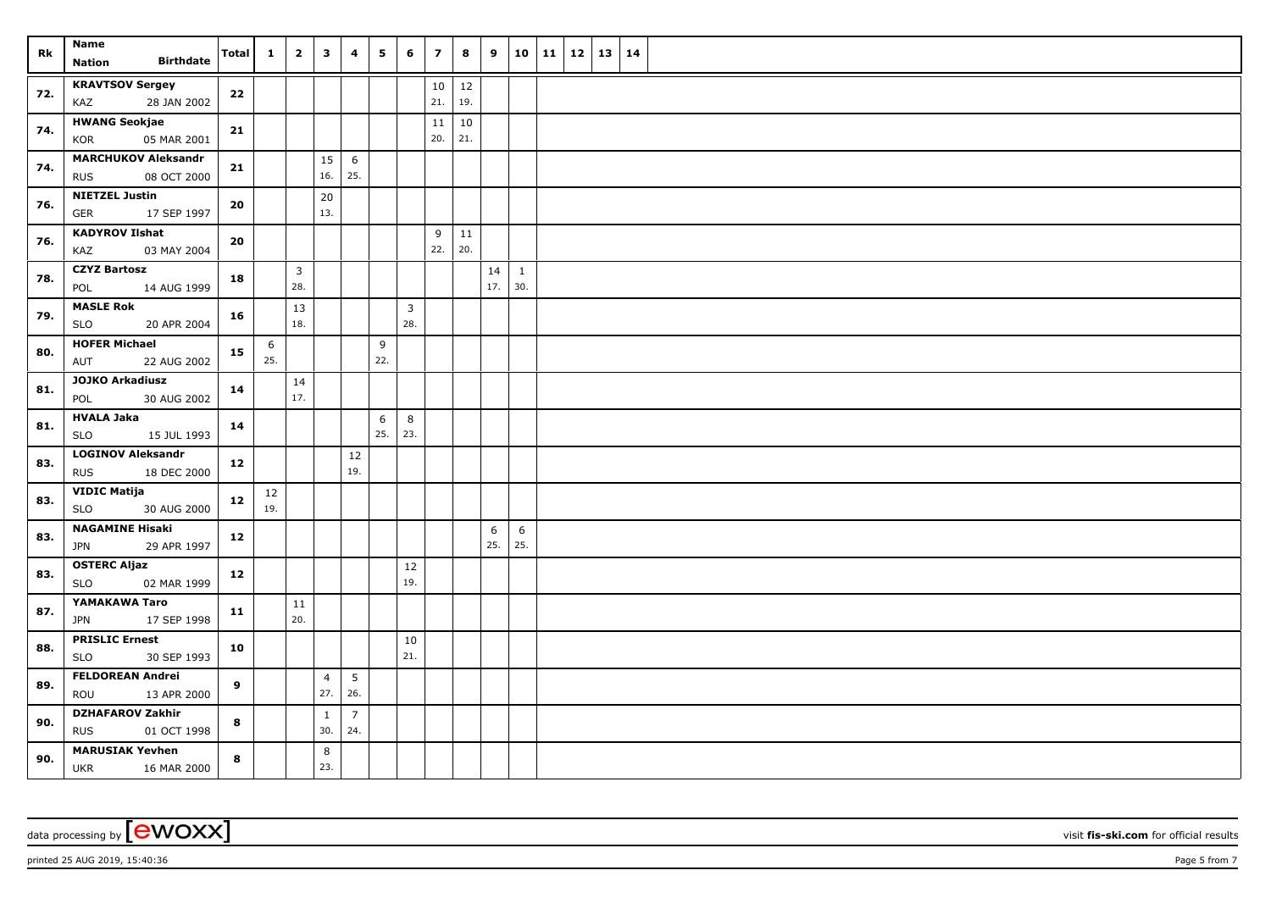| Rk  | Name                                                    | <b>Total</b> | $\mathbf{1}$ | $\overline{2}$      | $\mathbf{3}$          | 4                     | 5        | 6                     | $\overline{\mathbf{z}}$ | 8         | 9         | 10                  | 11   12   13   14 |  |  |
|-----|---------------------------------------------------------|--------------|--------------|---------------------|-----------------------|-----------------------|----------|-----------------------|-------------------------|-----------|-----------|---------------------|-------------------|--|--|
|     | <b>Birthdate</b><br><b>Nation</b>                       |              |              |                     |                       |                       |          |                       |                         |           |           |                     |                   |  |  |
| 72. | <b>KRAVTSOV Sergey</b><br>28 JAN 2002<br>KAZ            | 22           |              |                     |                       |                       |          |                       | $10\,$<br>21.           | 12<br>19. |           |                     |                   |  |  |
| 74. | <b>HWANG Seokjae</b><br>KOR<br>05 MAR 2001              | 21           |              |                     |                       |                       |          |                       | 11<br>20.               | 10<br>21. |           |                     |                   |  |  |
| 74. | <b>MARCHUKOV Aleksandr</b><br>08 OCT 2000<br><b>RUS</b> | 21           |              |                     | 15<br>16.             | 6<br>25.              |          |                       |                         |           |           |                     |                   |  |  |
| 76. | <b>NIETZEL Justin</b><br>GER<br>17 SEP 1997             | 20           |              |                     | 20<br>13.             |                       |          |                       |                         |           |           |                     |                   |  |  |
| 76. | <b>KADYROV Ilshat</b><br>KAZ<br>03 MAY 2004             | 20           |              |                     |                       |                       |          |                       | 9<br>22.                | 11<br>20. |           |                     |                   |  |  |
| 78. | <b>CZYZ Bartosz</b><br>14 AUG 1999<br>POL               | 18           |              | $\mathbf{3}$<br>28. |                       |                       |          |                       |                         |           | 14<br>17. | $\mathbf{1}$<br>30. |                   |  |  |
| 79. | <b>MASLE Rok</b><br><b>SLO</b><br>20 APR 2004           | 16           |              | 13<br>18.           |                       |                       |          | $\overline{3}$<br>28. |                         |           |           |                     |                   |  |  |
| 80. | <b>HOFER Michael</b><br>22 AUG 2002<br>AUT              | 15           | 6<br>25.     |                     |                       |                       | 9<br>22. |                       |                         |           |           |                     |                   |  |  |
| 81. | <b>JOJKO Arkadiusz</b><br>30 AUG 2002<br>POL            | 14           |              | 14<br>17.           |                       |                       |          |                       |                         |           |           |                     |                   |  |  |
| 81. | <b>HVALA Jaka</b><br><b>SLO</b><br>15 JUL 1993          | 14           |              |                     |                       |                       | 6<br>25. | 8<br>23.              |                         |           |           |                     |                   |  |  |
| 83. | <b>LOGINOV Aleksandr</b><br><b>RUS</b><br>18 DEC 2000   | 12           |              |                     |                       | 12<br>19.             |          |                       |                         |           |           |                     |                   |  |  |
| 83. | <b>VIDIC Matija</b><br><b>SLO</b><br>30 AUG 2000        | 12           | 12<br>19.    |                     |                       |                       |          |                       |                         |           |           |                     |                   |  |  |
| 83. | <b>NAGAMINE Hisaki</b><br>29 APR 1997<br><b>JPN</b>     | 12           |              |                     |                       |                       |          |                       |                         |           | 6<br>25.  | 6<br>25.            |                   |  |  |
| 83. | <b>OSTERC Aljaz</b><br>02 MAR 1999<br>SLO               | 12           |              |                     |                       |                       |          | 12<br>19.             |                         |           |           |                     |                   |  |  |
| 87. | YAMAKAWA Taro<br>17 SEP 1998<br><b>JPN</b>              | 11           |              | 11<br>20.           |                       |                       |          |                       |                         |           |           |                     |                   |  |  |
| 88. | <b>PRISLIC Ernest</b><br>30 SEP 1993<br><b>SLO</b>      | 10           |              |                     |                       |                       |          | 10<br>21.             |                         |           |           |                     |                   |  |  |
| 89. | <b>FELDOREAN Andrei</b><br>ROU<br>13 APR 2000           | 9            |              |                     | $\overline{4}$<br>27. | 5 <sup>5</sup><br>26. |          |                       |                         |           |           |                     |                   |  |  |
| 90. | <b>DZHAFAROV Zakhir</b><br><b>RUS</b><br>01 OCT 1998    | 8            |              |                     | $\mathbf{1}$<br>30.   | $\overline{7}$<br>24. |          |                       |                         |           |           |                     |                   |  |  |
| 90. | <b>MARUSIAK Yevhen</b><br><b>UKR</b><br>16 MAR 2000     | 8            |              |                     | 8<br>23.              |                       |          |                       |                         |           |           |                     |                   |  |  |

data processing by **CWOXX** wisit **fis-ski.com** for official results

printed 25 AUG 2019, 15:40:36 **Page 5** from 7 **Page 5** from 7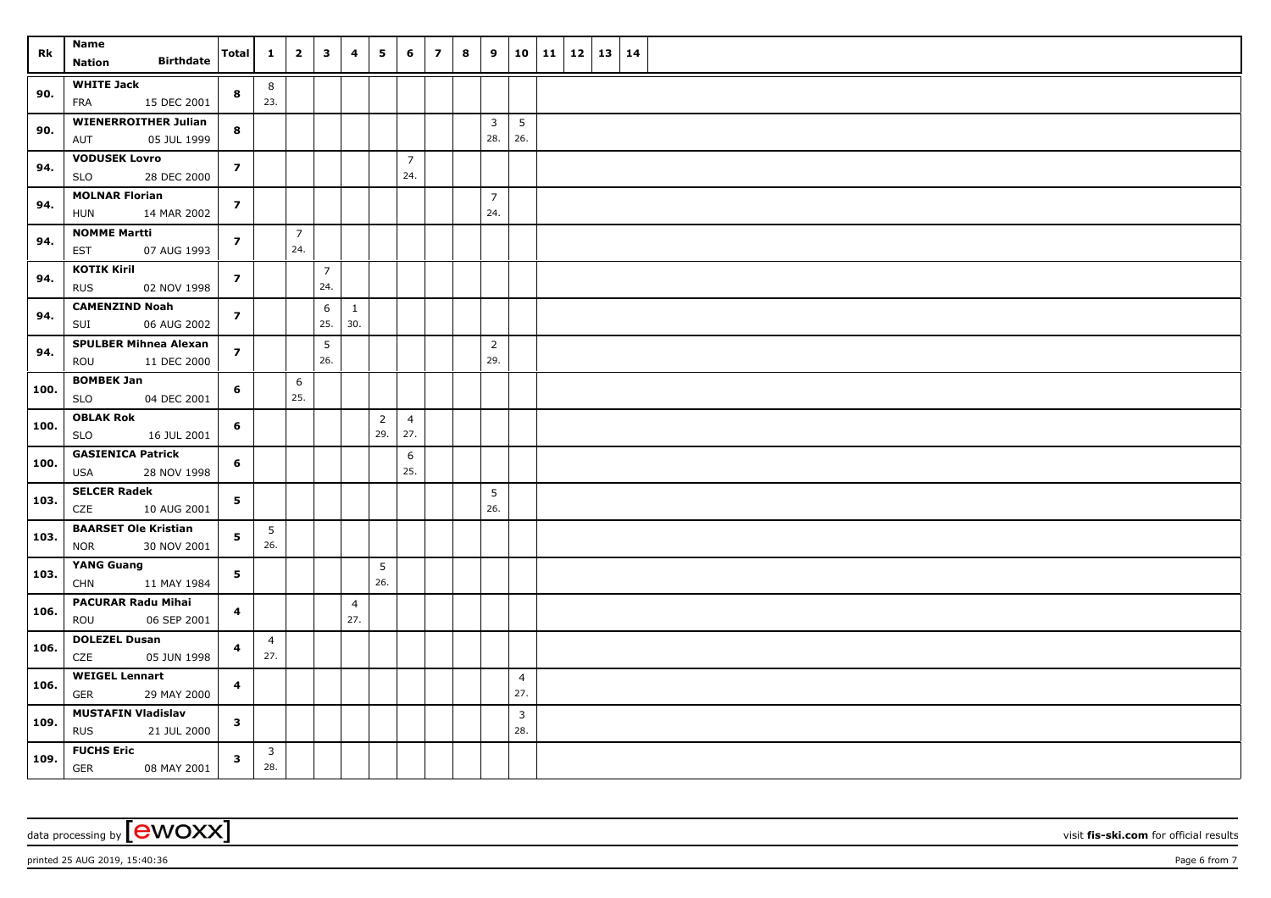| Rk   | Name                                               | <b>Total</b>            | $\mathbf{1}$          | $\overline{2}$        | $\overline{\mathbf{3}}$ | 4                     | 5              | 6                     | $\overline{z}$ | 8 | 9                     |                        | $10 \mid 11 \mid 12$ | 13   14 |  |
|------|----------------------------------------------------|-------------------------|-----------------------|-----------------------|-------------------------|-----------------------|----------------|-----------------------|----------------|---|-----------------------|------------------------|----------------------|---------|--|
|      | <b>Birthdate</b><br><b>Nation</b>                  |                         |                       |                       |                         |                       |                |                       |                |   |                       |                        |                      |         |  |
| 90.  | <b>WHITE Jack</b><br>FRA<br>15 DEC 2001            | 8                       | 8<br>23.              |                       |                         |                       |                |                       |                |   |                       |                        |                      |         |  |
| 90.  | <b>WIENERROITHER Julian</b><br>AUT<br>05 JUL 1999  | 8                       |                       |                       |                         |                       |                |                       |                |   | $\overline{3}$<br>28. | $5\overline{)}$<br>26. |                      |         |  |
| 94.  | <b>VODUSEK Lovro</b><br><b>SLO</b><br>28 DEC 2000  | $\overline{z}$          |                       |                       |                         |                       |                | $\overline{7}$<br>24. |                |   |                       |                        |                      |         |  |
| 94.  | <b>MOLNAR Florian</b><br><b>HUN</b><br>14 MAR 2002 | $\overline{z}$          |                       |                       |                         |                       |                |                       |                |   | $\overline{7}$<br>24. |                        |                      |         |  |
|      |                                                    |                         |                       |                       |                         |                       |                |                       |                |   |                       |                        |                      |         |  |
| 94.  | <b>NOMME Martti</b><br><b>EST</b><br>07 AUG 1993   | $\overline{\mathbf{z}}$ |                       | $\overline{7}$<br>24. |                         |                       |                |                       |                |   |                       |                        |                      |         |  |
| 94.  | <b>KOTIK Kiril</b><br><b>RUS</b><br>02 NOV 1998    | $\overline{z}$          |                       |                       | $\overline{7}$<br>24.   |                       |                |                       |                |   |                       |                        |                      |         |  |
| 94.  | <b>CAMENZIND Noah</b><br>SUI<br>06 AUG 2002        | $\overline{z}$          |                       |                       | 6<br>25.                | $\mathbf{1}$<br>30.   |                |                       |                |   |                       |                        |                      |         |  |
|      | <b>SPULBER Mihnea Alexan</b>                       |                         |                       |                       | 5                       |                       |                |                       |                |   | $\overline{2}$        |                        |                      |         |  |
| 94.  | ROU<br>11 DEC 2000                                 | $\overline{z}$          |                       |                       | 26.                     |                       |                |                       |                |   | 29.                   |                        |                      |         |  |
| 100. | <b>BOMBEK Jan</b><br><b>SLO</b><br>04 DEC 2001     | 6                       |                       | 6<br>25.              |                         |                       |                |                       |                |   |                       |                        |                      |         |  |
|      | <b>OBLAK Rok</b>                                   |                         |                       |                       |                         |                       | $\overline{2}$ | $\overline{4}$        |                |   |                       |                        |                      |         |  |
| 100. | SLO<br>16 JUL 2001                                 | 6                       |                       |                       |                         |                       | 29.            | 27.                   |                |   |                       |                        |                      |         |  |
| 100. | <b>GASIENICA Patrick</b><br>USA<br>28 NOV 1998     | 6                       |                       |                       |                         |                       |                | 6<br>25.              |                |   |                       |                        |                      |         |  |
| 103. | <b>SELCER Radek</b><br>CZE<br>10 AUG 2001          | 5                       |                       |                       |                         |                       |                |                       |                |   | 5<br>26.              |                        |                      |         |  |
| 103. | <b>BAARSET Ole Kristian</b><br>30 NOV 2001<br>NOR  | 5                       | 5<br>26.              |                       |                         |                       |                |                       |                |   |                       |                        |                      |         |  |
|      | <b>YANG Guang</b>                                  |                         |                       |                       |                         |                       | 5              |                       |                |   |                       |                        |                      |         |  |
| 103. | <b>CHN</b><br>11 MAY 1984                          | 5                       |                       |                       |                         |                       | 26.            |                       |                |   |                       |                        |                      |         |  |
| 106. | <b>PACURAR Radu Mihai</b><br>06 SEP 2001<br>ROU    | $\overline{\mathbf{4}}$ |                       |                       |                         | $\overline{4}$<br>27. |                |                       |                |   |                       |                        |                      |         |  |
| 106. | <b>DOLEZEL Dusan</b><br>CZE<br>05 JUN 1998         | $\overline{\mathbf{4}}$ | $\overline{4}$<br>27. |                       |                         |                       |                |                       |                |   |                       |                        |                      |         |  |
|      | <b>WEIGEL Lennart</b>                              |                         |                       |                       |                         |                       |                |                       |                |   |                       | $\overline{4}$         |                      |         |  |
| 106. | <b>GER</b><br>29 MAY 2000                          | $\overline{\mathbf{4}}$ |                       |                       |                         |                       |                |                       |                |   |                       | 27.                    |                      |         |  |
| 109. | <b>MUSTAFIN Vladislav</b>                          | $\mathbf{3}$            |                       |                       |                         |                       |                |                       |                |   |                       | $\mathbf{3}$           |                      |         |  |
|      | <b>RUS</b><br>21 JUL 2000                          |                         |                       |                       |                         |                       |                |                       |                |   |                       | 28.                    |                      |         |  |
| 109. | <b>FUCHS Eric</b><br>GER<br>08 MAY 2001            | $\overline{\mathbf{3}}$ | $\mathbf{3}$<br>28.   |                       |                         |                       |                |                       |                |   |                       |                        |                      |         |  |

data processing by **CWOXX** wisit **fis-ski.com** for official results

printed 25 AUG 2019, 15:40:36 **Page 6** from 7 **Page 6** from 7